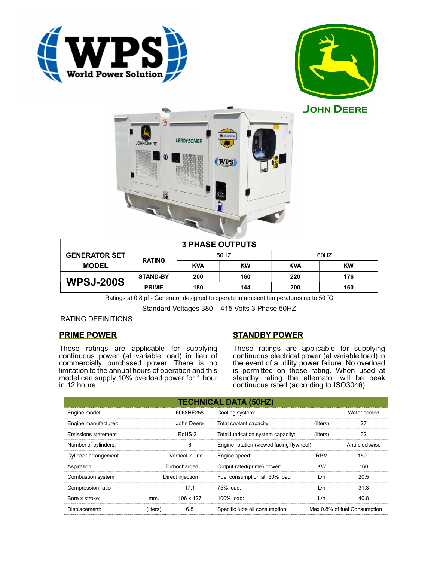





| <b>3 PHASE OUTPUTS</b> |                 |            |           |            |           |  |
|------------------------|-----------------|------------|-----------|------------|-----------|--|
| <b>GENERATOR SET</b>   | <b>RATING</b>   | 50HZ       |           | 60HZ       |           |  |
| <b>MODEL</b>           |                 | <b>KVA</b> | <b>KW</b> | <b>KVA</b> | <b>KW</b> |  |
| <b>WPSJ-200S</b>       | <b>STAND-BY</b> | 200        | 160       | 220        | 176       |  |
|                        | <b>PRIME</b>    | 180        | 144       | 200        | 160       |  |

Ratings at 0.8 pf - Generator designed to operate in ambient temperatures up to 50 °C

Standard Voltages 380 – 415 Volts 3 Phase 50HZ

RATING DEFINITIONS:

## PRIME POWER

These ratings are applicable for supplying continuous power (at variable load) in lieu of commercially purchased power. There is no limitation to the annual hours of operation and this model can supply 10% overload power for 1 hour in 12 hours.

# STANDBY POWER

These ratings are applicable for supplying continuous electrical power (at variable load) in the event of a utility power failure. No overload is permitted on these rating. When used at standby rating the alternator will be peak continuous rated (according to ISO3046)

| <b>TECHNICAL DATA (50HZ)</b> |                   |            |                                           |            |                              |  |  |
|------------------------------|-------------------|------------|-------------------------------------------|------------|------------------------------|--|--|
| Engine model:                |                   | 6068HF258  | Cooling system:                           |            | Water cooled                 |  |  |
| Engine manufacturer:         |                   | John Deere | Total coolant capacity:                   | (liters)   | 27                           |  |  |
| Emissions statement          | RoHS <sub>2</sub> |            | Total lubrication system capacity:        | (liters)   | 32                           |  |  |
| Number of cylinders:         | 6                 |            | Engine rotation (viewed facing flywheel): |            | Anti-clockwise               |  |  |
| Cylinder arrangement         | Vertical in-line  |            | Engine speed:                             | <b>RPM</b> | 1500                         |  |  |
| Aspiration:                  | Turbocharged      |            | Output rated(prime) power:                | <b>KW</b>  | 160                          |  |  |
| Combustion system            | Direct injection  |            | Fuel consumption at: 50% load             | L/h        | 20.5                         |  |  |
| Compression ratio            |                   | 17:1       | 75% load:                                 | L/h        | 31.3                         |  |  |
| Bore x stroke:               | mm.               | 106 x 127  | $100\%$ load:                             | L/h        | 40.8                         |  |  |
| Displacement:                | (liters)          | 6.8        | Specific lube oil consumption:            |            | Max 0.8% of fuel Consumption |  |  |